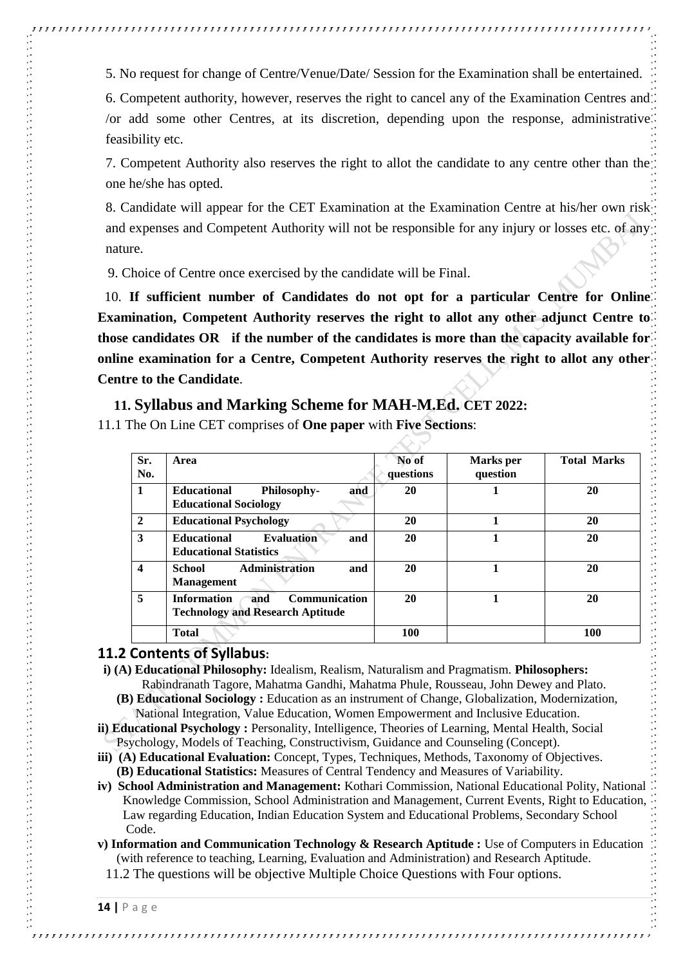5. No request for change of Centre/Venue/Date/ Session for the Examination shall be entertained.

6. Competent authority, however, reserves the right to cancel any of the Examination Centres and /or add some other Centres, at its discretion, depending upon the response, administrative feasibility etc.

7. Competent Authority also reserves the right to allot the candidate to any centre other than the one he/she has opted.

8. Candidate will appear for the CET Examination at the Examination Centre at his/her own risk and expenses and Competent Authority will not be responsible for any injury or losses etc. of any nature.

9. Choice of Centre once exercised by the candidate will be Final.

 10. **If sufficient number of Candidates do not opt for a particular Centre for Online Examination, Competent Authority reserves the right to allot any other adjunct Centre to those candidates OR if the number of the candidates is more than the capacity available for online examination for a Centre, Competent Authority reserves the right to allot any other Centre to the Candidate**.

#### **11. Syllabus and Marking Scheme for MAH-M.Ed. CET 2022:**

11.1 The On Line CET comprises of **One paper** with **Five Sections**:

| Sr.<br>No.       | Area                                                                                         | No of<br>questions | Marks per<br>question | <b>Total Marks</b> |
|------------------|----------------------------------------------------------------------------------------------|--------------------|-----------------------|--------------------|
| 1                | <b>Educational</b><br><b>Philosophy-</b><br>and<br><b>Educational Sociology</b>              | 20                 |                       | 20                 |
| $\overline{2}$   | <b>Educational Psychology</b>                                                                | 20                 |                       | 20                 |
| 3                | <b>Evaluation</b><br><b>Educational</b><br>and<br><b>Educational Statistics</b>              | 20                 |                       | 20                 |
| $\boldsymbol{4}$ | <b>Administration</b><br>School<br>and<br><b>Management</b>                                  | 20                 |                       | 20                 |
| 5                | <b>Information</b><br><b>Communication</b><br>and<br><b>Technology and Research Aptitude</b> | 20                 |                       | 20                 |
|                  | <b>Total</b>                                                                                 | <b>100</b>         |                       | 100                |

# **11.2 Contents of Syllabus:**

- **i) (A) Educational Philosophy:** Idealism, Realism, Naturalism and Pragmatism. **Philosophers:** Rabindranath Tagore, Mahatma Gandhi, Mahatma Phule, Rousseau, John Dewey and Plato.
	- **(B) Educational Sociology :** Education as an instrument of Change, Globalization, Modernization, National Integration, Value Education, Women Empowerment and Inclusive Education.
- **ii) Educational Psychology :** Personality, Intelligence, Theories of Learning, Mental Health, Social Psychology, Models of Teaching, Constructivism, Guidance and Counseling (Concept).
- **iii) (A) Educational Evaluation:** Concept, Types, Techniques, Methods, Taxonomy of Objectives. **(B) Educational Statistics:** Measures of Central Tendency and Measures of Variability.
- **iv) School Administration and Management:** Kothari Commission, National Educational Polity, National Knowledge Commission, School Administration and Management, Current Events, Right to Education, Law regarding Education, Indian Education System and Educational Problems, Secondary School Code.
- **v) Information and Communication Technology & Research Aptitude :** Use of Computers in Education (with reference to teaching, Learning, Evaluation and Administration) and Research Aptitude.

11.2 The questions will be objective Multiple Choice Questions with Four options.